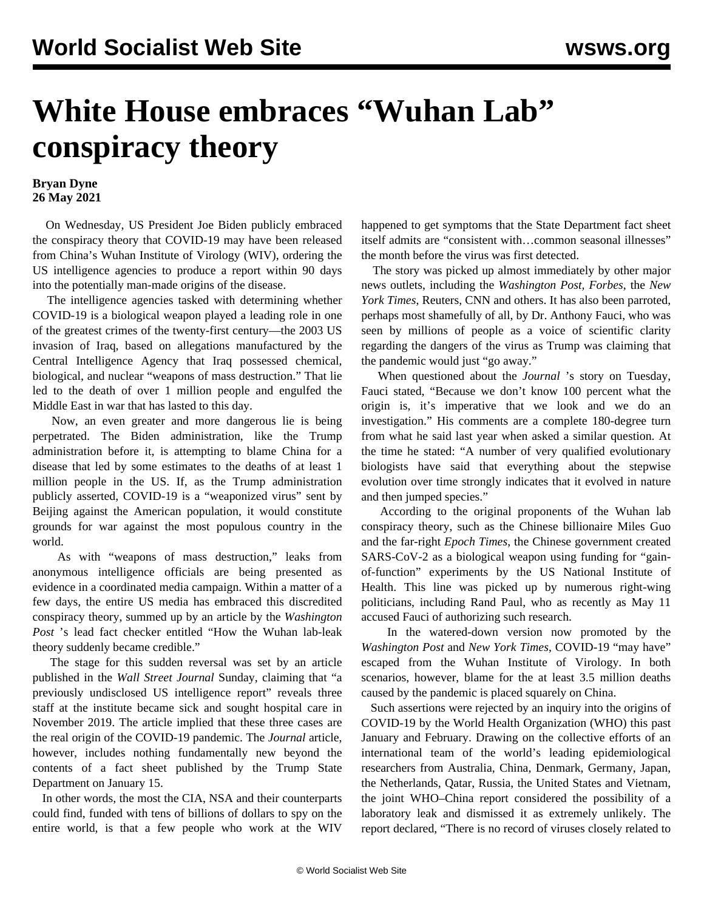## **White House embraces "Wuhan Lab" conspiracy theory**

## **Bryan Dyne 26 May 2021**

 On Wednesday, US President Joe Biden publicly embraced the conspiracy theory that COVID-19 may have been released from China's Wuhan Institute of Virology (WIV), ordering the US intelligence agencies to produce a report within 90 days into the potentially man-made origins of the disease.

 The intelligence agencies tasked with determining whether COVID-19 is a biological weapon played a leading role in one of the greatest crimes of the twenty-first century—the 2003 US invasion of Iraq, based on allegations manufactured by the Central Intelligence Agency that Iraq possessed chemical, biological, and nuclear "weapons of mass destruction." That lie led to the death of over 1 million people and engulfed the Middle East in war that has lasted to this day.

 Now, an even greater and more dangerous lie is being perpetrated. The Biden administration, like the Trump administration before it, is attempting to blame China for a disease that led by some estimates to the deaths of at least 1 million people in the US. If, as the Trump administration publicly asserted, COVID-19 is a "weaponized virus" sent by Beijing against the American population, it would constitute grounds for war against the most populous country in the world.

 As with "weapons of mass destruction," leaks from anonymous intelligence officials are being presented as evidence in a coordinated media campaign. Within a matter of a few days, the entire US media has embraced this discredited conspiracy theory, summed up by an article by the *Washington Post* 's lead fact checker entitled "How the Wuhan lab-leak theory suddenly became credible."

 The stage for this sudden reversal was set by an article published in the *Wall Street Journal* Sunday, claiming that "a previously undisclosed US intelligence report" reveals three staff at the institute became sick and sought hospital care in November 2019. The article implied that these three cases are the real origin of the COVID-19 pandemic. The *Journal* article, however, includes nothing fundamentally new beyond the contents of a fact sheet published by the Trump State Department on January 15.

 In other words, the most the CIA, NSA and their counterparts could find, funded with tens of billions of dollars to spy on the entire world, is that a few people who work at the WIV happened to get symptoms that the State Department fact sheet itself admits are "consistent with…common seasonal illnesses" the month before the virus was first detected.

 The story was picked up almost immediately by other major news outlets, including the *Washington Post, Forbes,* the *New York Times*, Reuters, CNN and others. It has also been parroted, perhaps most shamefully of all, by Dr. Anthony Fauci, who was seen by millions of people as a voice of scientific clarity regarding the dangers of the virus as Trump was claiming that the pandemic would just "go away."

 When questioned about the *Journal* 's story on Tuesday, Fauci stated, "Because we don't know 100 percent what the origin is, it's imperative that we look and we do an investigation." His comments are a complete 180-degree turn from what he said last year when asked a similar question. At the time he stated: "A number of very qualified evolutionary biologists have said that everything about the stepwise evolution over time strongly indicates that it evolved in nature and then jumped species."

 According to the original proponents of the Wuhan lab conspiracy theory, such as the Chinese billionaire Miles Guo and the far-right *Epoch Times*, the Chinese government created SARS-CoV-2 as a biological weapon using funding for "gainof-function" experiments by the US National Institute of Health. This line was picked up by numerous right-wing politicians, including Rand Paul, who as recently as May 11 accused Fauci of authorizing such research.

 In the watered-down version now promoted by the *Washington Post* and *New York Times*, COVID-19 "may have" escaped from the Wuhan Institute of Virology. In both scenarios, however, blame for the at least 3.5 million deaths caused by the pandemic is placed squarely on China.

 Such assertions were rejected by an inquiry into the origins of COVID-19 by the World Health Organization (WHO) this past January and February. Drawing on the collective efforts of an international team of the world's leading epidemiological researchers from Australia, China, Denmark, Germany, Japan, the Netherlands, Qatar, Russia, the United States and Vietnam, the joint WHO–China report considered the possibility of a laboratory leak and dismissed it as extremely unlikely. The report declared, "There is no record of viruses closely related to